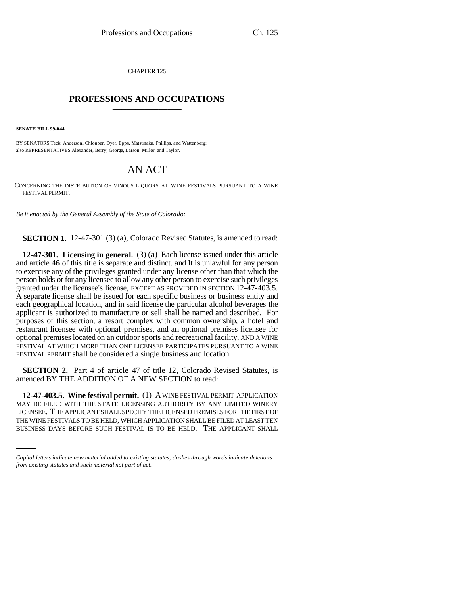CHAPTER 125 \_\_\_\_\_\_\_\_\_\_\_\_\_\_\_

## **PROFESSIONS AND OCCUPATIONS** \_\_\_\_\_\_\_\_\_\_\_\_\_\_\_

**SENATE BILL 99-044** 

BY SENATORS Teck, Anderson, Chlouber, Dyer, Epps, Matsunaka, Phillips, and Wattenberg; also REPRESENTATIVES Alexander, Berry, George, Larson, Miller, and Taylor.

## AN ACT

CONCERNING THE DISTRIBUTION OF VINOUS LIQUORS AT WINE FESTIVALS PURSUANT TO A WINE FESTIVAL PERMIT.

*Be it enacted by the General Assembly of the State of Colorado:*

**SECTION 1.** 12-47-301 (3) (a), Colorado Revised Statutes, is amended to read:

**12-47-301. Licensing in general.** (3) (a) Each license issued under this article and article 46 of this title is separate and distinct. and It is unlawful for any person to exercise any of the privileges granted under any license other than that which the person holds or for any licensee to allow any other person to exercise such privileges granted under the licensee's license, EXCEPT AS PROVIDED IN SECTION 12-47-403.5. A separate license shall be issued for each specific business or business entity and each geographical location, and in said license the particular alcohol beverages the applicant is authorized to manufacture or sell shall be named and described. For purposes of this section, a resort complex with common ownership, a hotel and restaurant licensee with optional premises, and an optional premises licensee for optional premises located on an outdoor sports and recreational facility, AND A WINE FESTIVAL AT WHICH MORE THAN ONE LICENSEE PARTICIPATES PURSUANT TO A WINE FESTIVAL PERMIT shall be considered a single business and location.

**SECTION 2.** Part 4 of article 47 of title 12, Colorado Revised Statutes, is amended BY THE ADDITION OF A NEW SECTION to read:

LICENSEE. THE APPLICANT SHALL SPECIFY THE LICENSED PREMISES FOR THE FIRST OF **12-47-403.5. Wine festival permit.** (1) A WINE FESTIVAL PERMIT APPLICATION MAY BE FILED WITH THE STATE LICENSING AUTHORITY BY ANY LIMITED WINERY THE WINE FESTIVALS TO BE HELD, WHICH APPLICATION SHALL BE FILED AT LEAST TEN BUSINESS DAYS BEFORE SUCH FESTIVAL IS TO BE HELD. THE APPLICANT SHALL

*Capital letters indicate new material added to existing statutes; dashes through words indicate deletions from existing statutes and such material not part of act.*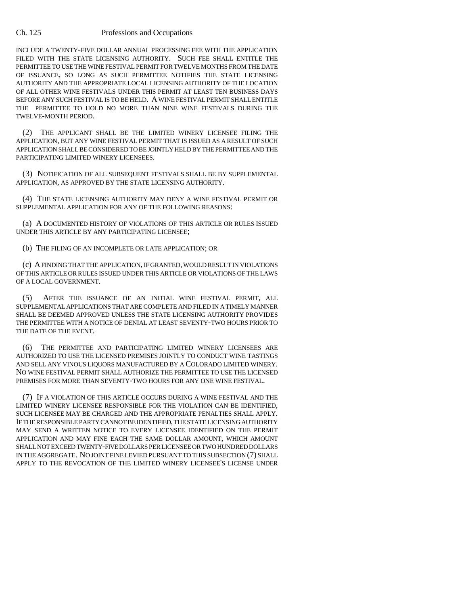## Ch. 125 Professions and Occupations

INCLUDE A TWENTY-FIVE DOLLAR ANNUAL PROCESSING FEE WITH THE APPLICATION FILED WITH THE STATE LICENSING AUTHORITY. SUCH FEE SHALL ENTITLE THE PERMITTEE TO USE THE WINE FESTIVAL PERMIT FOR TWELVE MONTHS FROM THE DATE OF ISSUANCE, SO LONG AS SUCH PERMITTEE NOTIFIES THE STATE LICENSING AUTHORITY AND THE APPROPRIATE LOCAL LICENSING AUTHORITY OF THE LOCATION OF ALL OTHER WINE FESTIVALS UNDER THIS PERMIT AT LEAST TEN BUSINESS DAYS BEFORE ANY SUCH FESTIVAL IS TO BE HELD. A WINE FESTIVAL PERMIT SHALL ENTITLE THE PERMITTEE TO HOLD NO MORE THAN NINE WINE FESTIVALS DURING THE TWELVE-MONTH PERIOD.

(2) THE APPLICANT SHALL BE THE LIMITED WINERY LICENSEE FILING THE APPLICATION, BUT ANY WINE FESTIVAL PERMIT THAT IS ISSUED AS A RESULT OF SUCH APPLICATION SHALL BE CONSIDERED TO BE JOINTLY HELD BY THE PERMITTEE AND THE PARTICIPATING LIMITED WINERY LICENSEES.

(3) NOTIFICATION OF ALL SUBSEQUENT FESTIVALS SHALL BE BY SUPPLEMENTAL APPLICATION, AS APPROVED BY THE STATE LICENSING AUTHORITY.

(4) THE STATE LICENSING AUTHORITY MAY DENY A WINE FESTIVAL PERMIT OR SUPPLEMENTAL APPLICATION FOR ANY OF THE FOLLOWING REASONS:

(a) A DOCUMENTED HISTORY OF VIOLATIONS OF THIS ARTICLE OR RULES ISSUED UNDER THIS ARTICLE BY ANY PARTICIPATING LICENSEE;

(b) THE FILING OF AN INCOMPLETE OR LATE APPLICATION; OR

(c) A FINDING THAT THE APPLICATION, IF GRANTED, WOULD RESULT IN VIOLATIONS OF THIS ARTICLE OR RULES ISSUED UNDER THIS ARTICLE OR VIOLATIONS OF THE LAWS OF A LOCAL GOVERNMENT.

(5) AFTER THE ISSUANCE OF AN INITIAL WINE FESTIVAL PERMIT, ALL SUPPLEMENTAL APPLICATIONS THAT ARE COMPLETE AND FILED IN A TIMELY MANNER SHALL BE DEEMED APPROVED UNLESS THE STATE LICENSING AUTHORITY PROVIDES THE PERMITTEE WITH A NOTICE OF DENIAL AT LEAST SEVENTY-TWO HOURS PRIOR TO THE DATE OF THE EVENT.

(6) THE PERMITTEE AND PARTICIPATING LIMITED WINERY LICENSEES ARE AUTHORIZED TO USE THE LICENSED PREMISES JOINTLY TO CONDUCT WINE TASTINGS AND SELL ANY VINOUS LIQUORS MANUFACTURED BY A COLORADO LIMITED WINERY. NO WINE FESTIVAL PERMIT SHALL AUTHORIZE THE PERMITTEE TO USE THE LICENSED PREMISES FOR MORE THAN SEVENTY-TWO HOURS FOR ANY ONE WINE FESTIVAL.

(7) IF A VIOLATION OF THIS ARTICLE OCCURS DURING A WINE FESTIVAL AND THE LIMITED WINERY LICENSEE RESPONSIBLE FOR THE VIOLATION CAN BE IDENTIFIED, SUCH LICENSEE MAY BE CHARGED AND THE APPROPRIATE PENALTIES SHALL APPLY. IF THE RESPONSIBLE PARTY CANNOT BE IDENTIFIED, THE STATE LICENSING AUTHORITY MAY SEND A WRITTEN NOTICE TO EVERY LICENSEE IDENTIFIED ON THE PERMIT APPLICATION AND MAY FINE EACH THE SAME DOLLAR AMOUNT, WHICH AMOUNT SHALL NOT EXCEED TWENTY-FIVE DOLLARS PER LICENSEE OR TWO HUNDRED DOLLARS IN THE AGGREGATE. NO JOINT FINE LEVIED PURSUANT TO THIS SUBSECTION (7) SHALL APPLY TO THE REVOCATION OF THE LIMITED WINERY LICENSEE'S LICENSE UNDER